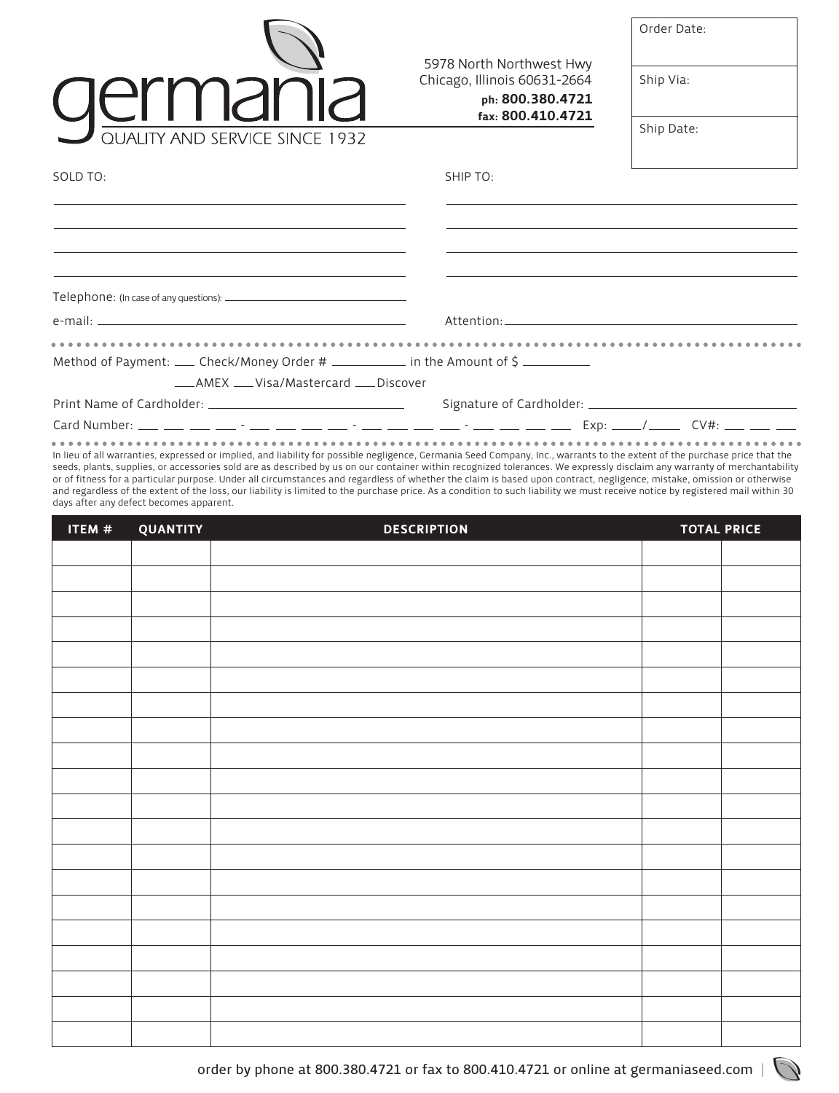|                                                                                                                                                                                                                                                                                                                                                       |                                                                              | Order Date:                                                                                                                                                                                                                                                                                                                                           |
|-------------------------------------------------------------------------------------------------------------------------------------------------------------------------------------------------------------------------------------------------------------------------------------------------------------------------------------------------------|------------------------------------------------------------------------------|-------------------------------------------------------------------------------------------------------------------------------------------------------------------------------------------------------------------------------------------------------------------------------------------------------------------------------------------------------|
| UEITIdI IIc                                                                                                                                                                                                                                                                                                                                           | 5978 North Northwest Hwy<br>Chicago, Illinois 60631-2664<br>ph: 800.380.4721 | Ship Via:                                                                                                                                                                                                                                                                                                                                             |
| QUALITY AND SERVICE SINCE 1932                                                                                                                                                                                                                                                                                                                        | fax: 800.410.4721                                                            | Ship Date:                                                                                                                                                                                                                                                                                                                                            |
| SOLD TO:                                                                                                                                                                                                                                                                                                                                              | SHIP TO:                                                                     |                                                                                                                                                                                                                                                                                                                                                       |
|                                                                                                                                                                                                                                                                                                                                                       |                                                                              |                                                                                                                                                                                                                                                                                                                                                       |
| <u> 1989 - Andrea Santa Andrea Andrea Andrea Andrea Andrea Andrea Andrea Andrea Andrea Andrea Andrea Andrea Andr</u><br>the control of the control of the control of the control of the control of the control of the control of the control of the control of the control of the control of the control of the control of the control of the control |                                                                              | <u> 1989 - Andrea Santa Andrea Andrea Andrea Andrea Andrea Andrea Andrea Andrea Andrea Andrea Andrea Andrea Andr</u><br>the control of the control of the control of the control of the control of the control of the control of the control of the control of the control of the control of the control of the control of the control of the control |
|                                                                                                                                                                                                                                                                                                                                                       |                                                                              |                                                                                                                                                                                                                                                                                                                                                       |
|                                                                                                                                                                                                                                                                                                                                                       |                                                                              |                                                                                                                                                                                                                                                                                                                                                       |
| Method of Payment: ____ Check/Money Order # ____________ in the Amount of \$ __________<br>___AMEX ___Visa/Mastercard ___Discover                                                                                                                                                                                                                     |                                                                              |                                                                                                                                                                                                                                                                                                                                                       |
|                                                                                                                                                                                                                                                                                                                                                       |                                                                              |                                                                                                                                                                                                                                                                                                                                                       |
|                                                                                                                                                                                                                                                                                                                                                       |                                                                              |                                                                                                                                                                                                                                                                                                                                                       |

In lieu of all warranties, expressed or implied, and liability for possible negligence, Germania Seed Company, Inc., warrants to the extent of the purchase price that the seeds, plants, supplies, or accessories sold are as described by us on our container within recognized tolerances. We expressly disclaim any warranty of merchantability or of fitness for a particular purpose. Under all circumstances and regardless of whether the claim is based upon contract, negligence, mistake, omission or otherwise and regardless of the extent of the loss, our liability is limited to the purchase price. As a condition to such liability we must receive notice by registered mail within 30 days after any defect becomes apparent.

| ITEM # | QUANTITY | <b>DESCRIPTION</b> | <b>TOTAL PRICE</b> |  |
|--------|----------|--------------------|--------------------|--|
|        |          |                    |                    |  |
|        |          |                    |                    |  |
|        |          |                    |                    |  |
|        |          |                    |                    |  |
|        |          |                    |                    |  |
|        |          |                    |                    |  |
|        |          |                    |                    |  |
|        |          |                    |                    |  |
|        |          |                    |                    |  |
|        |          |                    |                    |  |
|        |          |                    |                    |  |
|        |          |                    |                    |  |
|        |          |                    |                    |  |
|        |          |                    |                    |  |
|        |          |                    |                    |  |
|        |          |                    |                    |  |
|        |          |                    |                    |  |
|        |          |                    |                    |  |
|        |          |                    |                    |  |
|        |          |                    |                    |  |